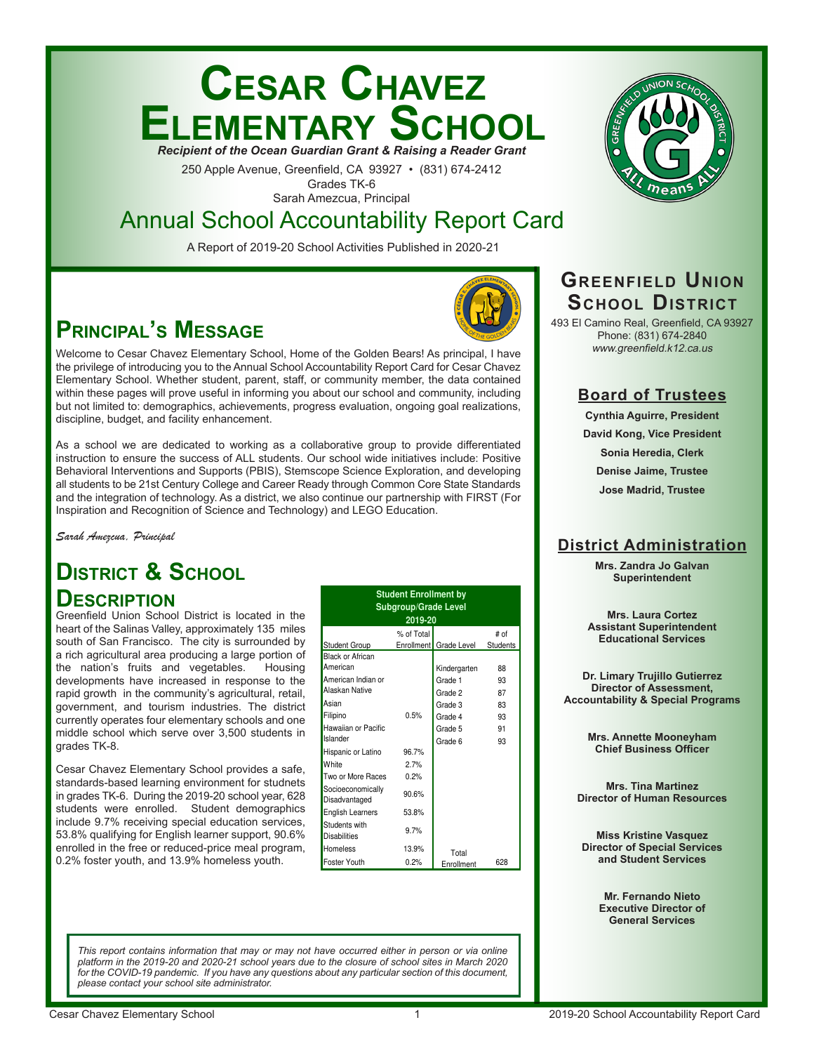# **Cesar Chavez Elementary School** *Recipient of the Ocean Guardian Grant & Raising a Reader Grant*

250 Apple Avenue, Greenfield, CA 93927 • (831) 674-2412 Grades TK-6

Sarah Amezcua, Principal

# Annual School Accountability Report Card

A Report of 2019-20 School Activities Published in 2020-21

# **Principal's Message**

Welcome to Cesar Chavez Elementary School, Home of the Golden Bears! As principal, I have the privilege of introducing you to the Annual School Accountability Report Card for Cesar Chavez Elementary School. Whether student, parent, staff, or community member, the data contained within these pages will prove useful in informing you about our school and community, including but not limited to: demographics, achievements, progress evaluation, ongoing goal realizations, discipline, budget, and facility enhancement.

As a school we are dedicated to working as a collaborative group to provide differentiated instruction to ensure the success of ALL students. Our school wide initiatives include: Positive Behavioral Interventions and Supports (PBIS), Stemscope Science Exploration, and developing all students to be 21st Century College and Career Ready through Common Core State Standards and the integration of technology. As a district, we also continue our partnership with FIRST (For Inspiration and Recognition of Science and Technology) and LEGO Education.

*Sarah Amezcua, Principal*

# **DISTRICT & SCHOOL**

# **Description**

Greenfield Union School District is located in the heart of the Salinas Valley, approximately 135 miles south of San Francisco. The city is surrounded by a rich agricultural area producing a large portion of the nation's fruits and vegetables. Housing developments have increased in response to the rapid growth in the community's agricultural, retail, government, and tourism industries. The district currently operates four elementary schools and one middle school which serve over 3,500 students in grades TK-8.

Cesar Chavez Elementary School provides a safe, standards-based learning environment for studnets in grades TK-6. During the 2019-20 school year, 628 students were enrolled. Student demographics include 9.7% receiving special education services, 53.8% qualifying for English learner support, 90.6% enrolled in the free or reduced-price meal program, 0.2% foster youth, and 13.9% homeless youth.

|                                      | <b>Student Enrollment by</b><br><b>Subgroup/Grade Level</b><br>2019-20 |                        |                 |
|--------------------------------------|------------------------------------------------------------------------|------------------------|-----------------|
|                                      | % of Total                                                             |                        | # of            |
| Student Group                        |                                                                        | Enrollment Grade Level | <b>Students</b> |
| <b>Black or African</b>              |                                                                        |                        |                 |
| American                             |                                                                        | Kindergarten           | 88              |
| American Indian or                   |                                                                        | Grade 1                | 93              |
| Alaskan Native                       |                                                                        | Grade 2                | 87              |
| Asian                                |                                                                        | Grade 3                | 83              |
| Filipino                             | 0.5%                                                                   | Grade 4                | 93              |
| Hawaiian or Pacific                  |                                                                        | Grade 5                | 91              |
| Islander                             |                                                                        | Grade 6                | 93              |
| Hispanic or Latino                   | 96.7%                                                                  |                        |                 |
| White                                | 2.7%                                                                   |                        |                 |
| Two or More Races                    | 0.2%                                                                   |                        |                 |
| Socioeconomically<br>Disadvantaged   | 90.6%                                                                  |                        |                 |
| <b>English Learners</b>              | 53.8%                                                                  |                        |                 |
| Students with<br><b>Disabilities</b> | 9.7%                                                                   |                        |                 |
| Homeless                             | 13.9%                                                                  | Total                  |                 |
| Foster Youth                         | 0.2%                                                                   | Enrollment             | 628             |

# **GREENFIELD UNION School District**

493 El Camino Real, Greenfield, CA 93927 Phone: (831) 674-2840 www.greenfield.k12.ca.us

# **Board of Trustees**

**Cynthia Aguirre, President David Kong, Vice President Sonia Heredia, Clerk Denise Jaime, Trustee Jose Madrid, Trustee**

# **District Administration**

**Mrs. Zandra Jo Galvan Superintendent**

**Mrs. Laura Cortez Assistant Superintendent Educational Services**

**Dr. Limary Trujillo Gutierrez Director of Assessment, Accountability & Special Programs**

> **Mrs. Annette Mooneyham Chief Business Officer**

**Mrs. Tina Martinez Director of Human Resources**

**Miss Kristine Vasquez Director of Special Services and Student Services**

> **Mr. Fernando Nieto Executive Director of General Services**

*This report contains information that may or may not have occurred either in person or via online platform in the 2019-20 and 2020-21 school years due to the closure of school sites in March 2020*  for the COVID-19 pandemic. If you have any questions about any particular section of this document, *please contact your school site administrator.*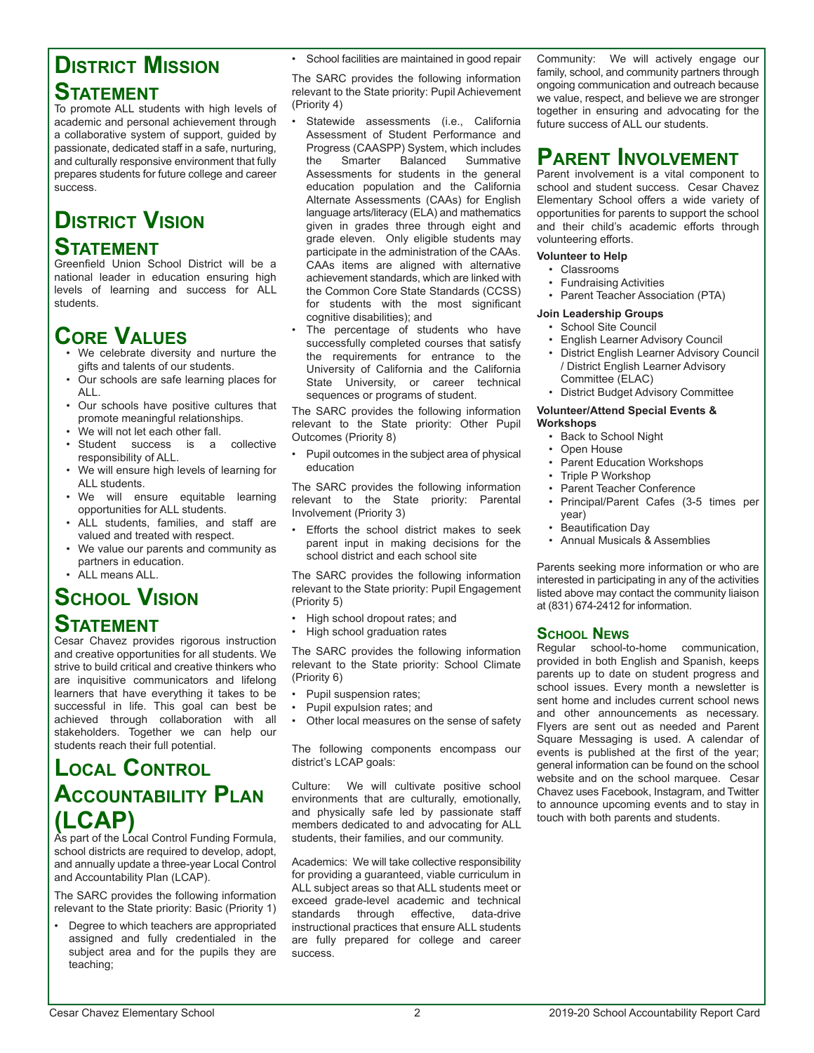# **District Mission Statement**

To promote ALL students with high levels of academic and personal achievement through a collaborative system of support, guided by passionate, dedicated staff in a safe, nurturing, and culturally responsive environment that fully prepares students for future college and career success.

# **District Vision**

# **Statement**

Greenfield Union School District will be a national leader in education ensuring high levels of learning and success for ALL students.

# **CORE VALUES**<br>• We celebrate diversity and nurture the

- gifts and talents of our students.
- Our schools are safe learning places for ALL.
- Our schools have positive cultures that promote meaningful relationships.
- We will not let each other fall.
- Student success is a collective responsibility of ALL.
- We will ensure high levels of learning for ALL students.
- We will ensure equitable learning opportunities for ALL students.
- ALL students, families, and staff are valued and treated with respect.
- We value our parents and community as partners in education.
- ALL means ALL.

# **School Vision Statement**

Cesar Chavez provides rigorous instruction and creative opportunities for all students. We strive to build critical and creative thinkers who are inquisitive communicators and lifelong learners that have everything it takes to be successful in life. This goal can best be achieved through collaboration with all stakeholders. Together we can help our students reach their full potential.

# **Local Control Accountability Plan (LCAP)**<br>As part of the Local Control Funding Formula,

school districts are required to develop, adopt, and annually update a three-year Local Control and Accountability Plan (LCAP).

The SARC provides the following information relevant to the State priority: Basic (Priority 1)

• Degree to which teachers are appropriated assigned and fully credentialed in the subject area and for the pupils they are teaching;

• School facilities are maintained in good repair

The SARC provides the following information relevant to the State priority: Pupil Achievement (Priority 4)

- Statewide assessments (i.e., California Assessment of Student Performance and Progress (CAASPP) System, which includes the Smarter Balanced Summative Assessments for students in the general education population and the California Alternate Assessments (CAAs) for English language arts/literacy (ELA) and mathematics given in grades three through eight and grade eleven. Only eligible students may participate in the administration of the CAAs. CAAs items are aligned with alternative achievement standards, which are linked with the Common Core State Standards (CCSS) for students with the most significant cognitive disabilities); and
- The percentage of students who have successfully completed courses that satisfy the requirements for entrance to the University of California and the California State University, or career technical sequences or programs of student.

The SARC provides the following information relevant to the State priority: Other Pupil Outcomes (Priority 8)

• Pupil outcomes in the subject area of physical education

The SARC provides the following information relevant to the State priority: Parental Involvement (Priority 3)

• Efforts the school district makes to seek parent input in making decisions for the school district and each school site

The SARC provides the following information relevant to the State priority: Pupil Engagement (Priority 5)

- High school dropout rates; and
- High school graduation rates

The SARC provides the following information relevant to the State priority: School Climate (Priority 6)

- Pupil suspension rates;
- Pupil expulsion rates; and
- Other local measures on the sense of safety

The following components encompass our district's LCAP goals:

Culture: We will cultivate positive school environments that are culturally, emotionally, and physically safe led by passionate staff members dedicated to and advocating for ALL students, their families, and our community.

Academics: We will take collective responsibility for providing a guaranteed, viable curriculum in ALL subject areas so that ALL students meet or exceed grade-level academic and technical standards through effective, data-drive instructional practices that ensure ALL students are fully prepared for college and career success.

Community: We will actively engage our family, school, and community partners through ongoing communication and outreach because we value, respect, and believe we are stronger together in ensuring and advocating for the future success of ALL our students.

# **Parent Involvement**

Parent involvement is a vital component to school and student success. Cesar Chavez Elementary School offers a wide variety of opportunities for parents to support the school and their child's academic efforts through volunteering efforts.

#### **Volunteer to Help**

- Classrooms
- Fundraising Activities
- Parent Teacher Association (PTA)

#### **Join Leadership Groups**

- School Site Council
- English Learner Advisory Council
- District English Learner Advisory Council / District English Learner Advisory Committee (ELAC)
- District Budget Advisory Committee

**Volunteer/Attend Special Events & Workshops**

- Back to School Night
- Open House
- Parent Education Workshops
- Triple P Workshop
- Parent Teacher Conference
- Principal/Parent Cafes (3-5 times per year)
- Beautification Day
- Annual Musicals & Assemblies

Parents seeking more information or who are interested in participating in any of the activities listed above may contact the community liaison at (831) 674-2412 for information.

### **School News**

Regular school-to-home communication, provided in both English and Spanish, keeps parents up to date on student progress and school issues. Every month a newsletter is sent home and includes current school news and other announcements as necessary. Flyers are sent out as needed and Parent Square Messaging is used. A calendar of events is published at the first of the year; general information can be found on the school website and on the school marquee. Cesar Chavez uses Facebook, Instagram, and Twitter to announce upcoming events and to stay in touch with both parents and students.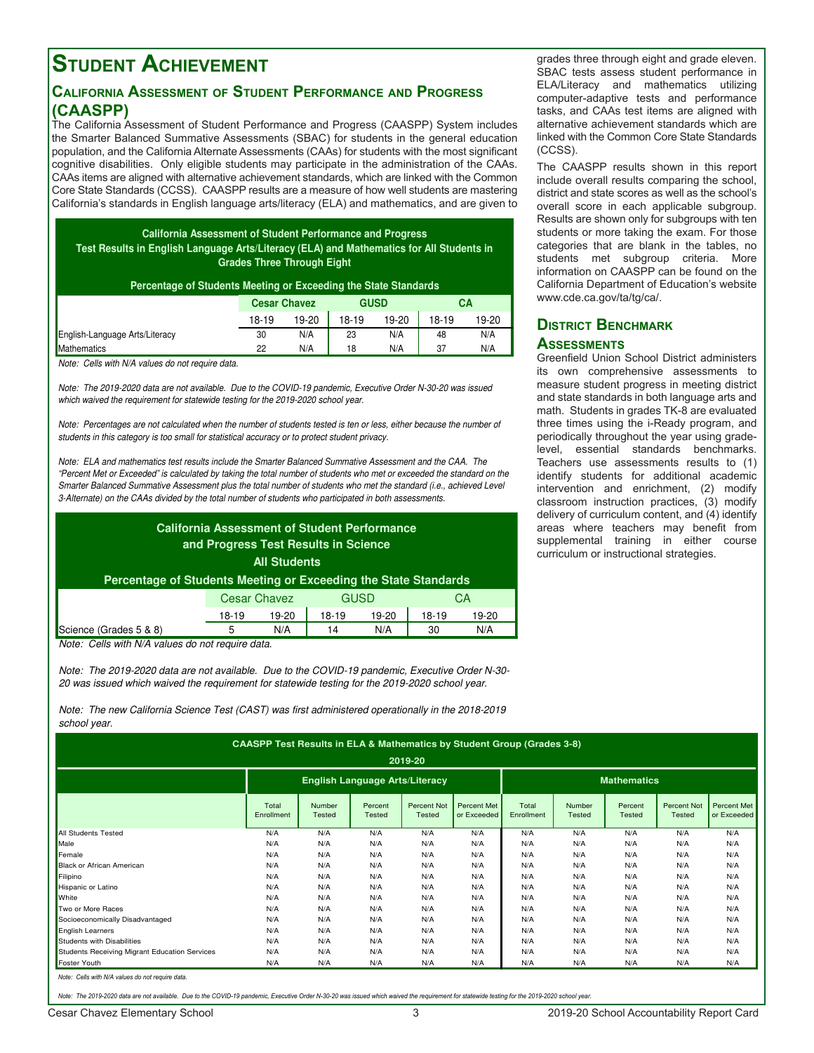# **Student Achievement**

### **California Assessment of Student Performance and Progress (CAASPP)**

The California Assessment of Student Performance and Progress (CAASPP) System includes the Smarter Balanced Summative Assessments (SBAC) for students in the general education population, and the California Alternate Assessments (CAAs) for students with the most significant cognitive disabilities. Only eligible students may participate in the administration of the CAAs. CAAs items are aligned with alternative achievement standards, which are linked with the Common Core State Standards (CCSS). CAASPP results are a measure of how well students are mastering California's standards in English language arts/literacy (ELA) and mathematics, and are given to

**California Assessment of Student Performance and Progress Test Results in English Language Arts/Literacy (ELA) and Mathematics for All Students in Grades Three Through Eight**

|  | Percentage of Students Meeting or Exceeding the State Standards |  |
|--|-----------------------------------------------------------------|--|
|  |                                                                 |  |

|                                | <b>Cesar Chavez</b> |       | <b>GUSD</b> |       |       | СA    |
|--------------------------------|---------------------|-------|-------------|-------|-------|-------|
|                                | 18-19               | 19-20 | 18-19       | 19-20 | 18-19 | 19-20 |
| English-Language Arts/Literacy | 30                  | N/A   | 23          | N/A   | 48    | N/A   |
| <b>Mathematics</b>             | 22                  | N/A   | 18          | N/A   | 37    | N/A   |

Note: Cells with N/A values do not require data.

Note: The 2019-2020 data are not available. Due to the COVID-19 pandemic, Executive Order N-30-20 was issued which waived the requirement for statewide testing for the 2019-2020 school year.

Note: Percentages are not calculated when the number of students tested is ten or less, either because the number of students in this category is too small for statistical accuracy or to protect student privacy.

Note: ELA and mathematics test results include the Smarter Balanced Summative Assessment and the CAA. The "Percent Met or Exceeded" is calculated by taking the total number of students who met or exceeded the standard on the Smarter Balanced Summative Assessment plus the total number of students who met the standard (i.e., achieved Level 3-Alternate) on the CAAs divided by the total number of students who participated in both assessments.

| Percentage of Students Meeting or Exceeding the State Standards |                     | <b>All Students</b> | <b>California Assessment of Student Performance</b><br>and Progress Test Results in Science |       |       |       |
|-----------------------------------------------------------------|---------------------|---------------------|---------------------------------------------------------------------------------------------|-------|-------|-------|
|                                                                 | <b>Cesar Chavez</b> |                     | <b>GUSD</b>                                                                                 |       | CА    |       |
|                                                                 | $18-19$             | 19-20               | 18-19                                                                                       | 19-20 | 18-19 | 19-20 |
| Science (Grades 5 & 8)                                          | 5                   | N/A                 | 14                                                                                          | N/A   | 30    | N/A   |

Note: Cells with N/A values do not require data.

Note: The 2019-2020 data are not available. Due to the COVID-19 pandemic, Executive Order N-30- 20 was issued which waived the requirement for statewide testing for the 2019-2020 school year.

Note: The new California Science Test (CAST) was first administered operationally in the 2018-2019 school year.

|                                               | CAASPP Test Results in ELA & Mathematics by Student Group (Grades 3-8) |                  |                                       |                                     |                            |                     |                  |                          |                                     |                            |
|-----------------------------------------------|------------------------------------------------------------------------|------------------|---------------------------------------|-------------------------------------|----------------------------|---------------------|------------------|--------------------------|-------------------------------------|----------------------------|
|                                               |                                                                        |                  |                                       | 2019-20                             |                            |                     |                  |                          |                                     |                            |
|                                               |                                                                        |                  | <b>English Language Arts/Literacy</b> |                                     |                            |                     |                  | <b>Mathematics</b>       |                                     |                            |
|                                               | Total<br>Enrollment                                                    | Number<br>Tested | Percent<br>Tested                     | <b>Percent Not</b><br><b>Tested</b> | Percent Met<br>or Exceeded | Total<br>Enrollment | Number<br>Tested | Percent<br><b>Tested</b> | <b>Percent Not</b><br><b>Tested</b> | Percent Met<br>or Exceeded |
| All Students Tested                           | N/A                                                                    | N/A              | N/A                                   | N/A                                 | N/A                        | N/A                 | N/A              | N/A                      | N/A                                 | N/A                        |
| Male                                          | N/A                                                                    | N/A              | N/A                                   | N/A                                 | N/A                        | N/A                 | N/A              | N/A                      | N/A                                 | N/A                        |
| Female                                        | N/A                                                                    | N/A              | N/A                                   | N/A                                 | N/A                        | N/A                 | N/A              | N/A                      | N/A                                 | N/A                        |
| <b>Black or African American</b>              | N/A                                                                    | N/A              | N/A                                   | N/A                                 | N/A                        | N/A                 | N/A              | N/A                      | N/A                                 | N/A                        |
| Filipino                                      | N/A                                                                    | N/A              | N/A                                   | N/A                                 | N/A                        | N/A                 | N/A              | N/A                      | N/A                                 | N/A                        |
| Hispanic or Latino                            | N/A                                                                    | N/A              | N/A                                   | N/A                                 | N/A                        | N/A                 | N/A              | N/A                      | N/A                                 | N/A                        |
| White                                         | N/A                                                                    | N/A              | N/A                                   | N/A                                 | N/A                        | N/A                 | N/A              | N/A                      | N/A                                 | N/A                        |
| Two or More Races                             | N/A                                                                    | N/A              | N/A                                   | N/A                                 | N/A                        | N/A                 | N/A              | N/A                      | N/A                                 | N/A                        |
| Socioeconomically Disadvantaged               | N/A                                                                    | N/A              | N/A                                   | N/A                                 | N/A                        | N/A                 | N/A              | N/A                      | N/A                                 | N/A                        |
| <b>English Learners</b>                       | N/A                                                                    | N/A              | N/A                                   | N/A                                 | N/A                        | N/A                 | N/A              | N/A                      | N/A                                 | N/A                        |
| Students with Disabilities                    | N/A                                                                    | N/A              | N/A                                   | N/A                                 | N/A                        | N/A                 | N/A              | N/A                      | N/A                                 | N/A                        |
| Students Receiving Migrant Education Services | N/A                                                                    | N/A              | N/A                                   | N/A                                 | N/A                        | N/A                 | N/A              | N/A                      | N/A                                 | N/A                        |
| <b>Foster Youth</b>                           | N/A                                                                    | N/A              | N/A                                   | N/A                                 | N/A                        | N/A                 | N/A              | N/A                      | N/A                                 | N/A                        |

Note: Cells with N/A values do not require data.

Note: The 2019-2020 data are not available. Due to the COVID-19 pandemic, Executive Order N-30-20 was issued which waived the requirement for statewide testing for the 2019-2020 school year

Cesar Chavez Elementary School 3 2019-20 School Accountability Report Card

grades three through eight and grade eleven. SBAC tests assess student performance in ELA/Literacy and mathematics utilizing computer-adaptive tests and performance tasks, and CAAs test items are aligned with alternative achievement standards which are linked with the Common Core State Standards (CCSS).

The CAASPP results shown in this report include overall results comparing the school, district and state scores as well as the school's overall score in each applicable subgroup. Results are shown only for subgroups with ten students or more taking the exam. For those categories that are blank in the tables, no students met subgroup criteria. More information on CAASPP can be found on the California Department of Education's website www.cde.ca.gov/ta/tg/ca/.

## **District Benchmark Assessments**

Greenfield Union School District administers its own comprehensive assessments to measure student progress in meeting district and state standards in both language arts and math. Students in grades TK-8 are evaluated three times using the i-Ready program, and periodically throughout the year using gradelevel, essential standards benchmarks. Teachers use assessments results to (1) identify students for additional academic intervention and enrichment, (2) modify classroom instruction practices, (3) modify delivery of curriculum content, and (4) identify areas where teachers may benefit from supplemental training in either course curriculum or instructional strategies.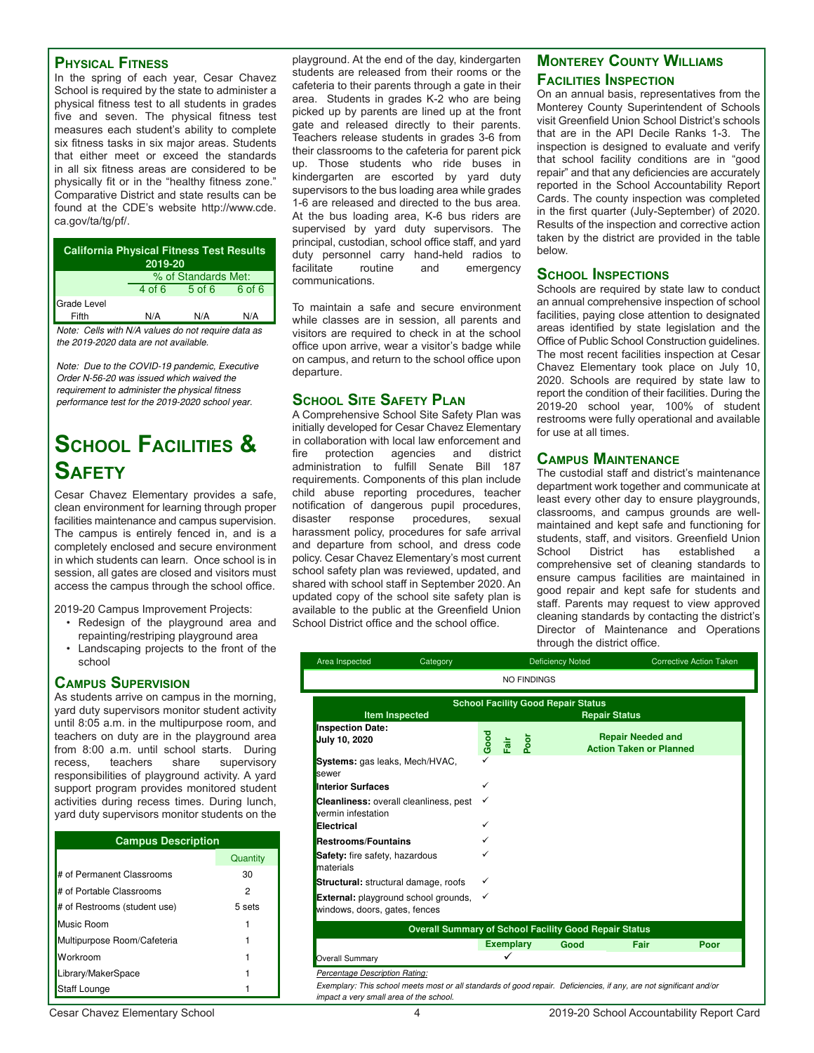#### **Physical Fitness**

In the spring of each year, Cesar Chavez School is required by the state to administer a physical fitness test to all students in grades five and seven. The physical fitness test measures each student's ability to complete six fitness tasks in six major areas. Students that either meet or exceed the standards in all six fitness areas are considered to be physically fit or in the "healthy fitness zone." Comparative District and state results can be found at the CDE's website http://www.cde. ca.gov/ta/tg/pf/.

| <b>California Physical Fitness Test Results</b><br>2019-20 |        |                     |        |  |  |  |  |  |
|------------------------------------------------------------|--------|---------------------|--------|--|--|--|--|--|
|                                                            |        | % of Standards Met: |        |  |  |  |  |  |
|                                                            | 4 of 6 | $5$ of 6            | 6 of 6 |  |  |  |  |  |
| Grade Level<br>Fifth                                       | N/A    | N/A                 | N/A    |  |  |  |  |  |

Note: Cells with N/A values do not require data as the 2019-2020 data are not available.

Note: Due to the COVID-19 pandemic, Executive Order N-56-20 was issued which waived the requirement to administer the physical fitness performance test for the 2019-2020 school year.

# **School Facilities & Safety**

Cesar Chavez Elementary provides a safe, clean environment for learning through proper facilities maintenance and campus supervision. The campus is entirely fenced in, and is a completely enclosed and secure environment in which students can learn. Once school is in session, all gates are closed and visitors must access the campus through the school office.

2019-20 Campus Improvement Projects:

- Redesign of the playground area and repainting/restriping playground area
- Landscaping projects to the front of the school

### **Campus Supervision**

As students arrive on campus in the morning, yard duty supervisors monitor student activity until 8:05 a.m. in the multipurpose room, and teachers on duty are in the playground area from 8:00 a.m. until school starts. During<br>recess, teachers share supervisory supervisory responsibilities of playground activity. A yard support program provides monitored student activities during recess times. During lunch, yard duty supervisors monitor students on the

| <b>Campus Description</b>    |          |  |  |  |  |
|------------------------------|----------|--|--|--|--|
|                              | Quantity |  |  |  |  |
| # of Permanent Classrooms    | 30       |  |  |  |  |
| # of Portable Classrooms     | 2        |  |  |  |  |
| # of Restrooms (student use) | 5 sets   |  |  |  |  |
| Music Room                   |          |  |  |  |  |
| Multipurpose Room/Cafeteria  |          |  |  |  |  |
| Workroom                     |          |  |  |  |  |
| Library/MakerSpace           |          |  |  |  |  |
| <b>Staff Lounge</b>          |          |  |  |  |  |

playground. At the end of the day, kindergarten students are released from their rooms or the cafeteria to their parents through a gate in their area. Students in grades K-2 who are being picked up by parents are lined up at the front gate and released directly to their parents. Teachers release students in grades 3-6 from their classrooms to the cafeteria for parent pick up. Those students who ride buses in kindergarten are escorted by yard duty supervisors to the bus loading area while grades 1-6 are released and directed to the bus area. At the bus loading area, K-6 bus riders are supervised by yard duty supervisors. The principal, custodian, school office staff, and yard duty personnel carry hand-held radios to<br>facilitate routine and emergency facilitate routine and emergency communications.

To maintain a safe and secure environment while classes are in session, all parents and visitors are required to check in at the school office upon arrive, wear a visitor's badge while on campus, and return to the school office upon departure.

### **School Site Safety Plan**

A Comprehensive School Site Safety Plan was initially developed for Cesar Chavez Elementary in collaboration with local law enforcement and<br>fire protection agencies and district protection agencies and administration to fulfill Senate Bill 187 requirements. Components of this plan include child abuse reporting procedures, teacher notification of dangerous pupil procedures, disaster response procedures, sexual harassment policy, procedures for safe arrival and departure from school, and dress code policy. Cesar Chavez Elementary's most current school safety plan was reviewed, updated, and shared with school staff in September 2020. An updated copy of the school site safety plan is available to the public at the Greenfield Union School District office and the school office.

### **Monterey County Williams Facilities Inspection**

On an annual basis, representatives from the Monterey County Superintendent of Schools visit Greenfield Union School District's schools that are in the API Decile Ranks 1-3. The inspection is designed to evaluate and verify that school facility conditions are in "good repair" and that any deficiencies are accurately reported in the School Accountability Report Cards. The county inspection was completed in the first quarter (July-September) of 2020. Results of the inspection and corrective action taken by the district are provided in the table below.

#### **School Inspections**

Schools are required by state law to conduct an annual comprehensive inspection of school facilities, paying close attention to designated areas identified by state legislation and the Office of Public School Construction guidelines. The most recent facilities inspection at Cesar Chavez Elementary took place on July 10, 2020. Schools are required by state law to report the condition of their facilities. During the 2019-20 school year, 100% of student restrooms were fully operational and available for use at all times.

### **Campus Maintenance**

The custodial staff and district's maintenance department work together and communicate at least every other day to ensure playgrounds, classrooms, and campus grounds are wellmaintained and kept safe and functioning for students, staff, and visitors. Greenfield Union<br>School District has established a School District has established a comprehensive set of cleaning standards to ensure campus facilities are maintained in good repair and kept safe for students and staff. Parents may request to view approved cleaning standards by contacting the district's Director of Maintenance and Operations through the district office.

| Area Inspected                                                               | Category |              |                  |                    | <b>Deficiency Noted</b>                                      |                                | <b>Corrective Action Taken</b> |
|------------------------------------------------------------------------------|----------|--------------|------------------|--------------------|--------------------------------------------------------------|--------------------------------|--------------------------------|
|                                                                              |          |              |                  | <b>NO FINDINGS</b> |                                                              |                                |                                |
|                                                                              |          |              |                  |                    | <b>School Facility Good Repair Status</b>                    |                                |                                |
| <b>Item Inspected</b>                                                        |          |              |                  |                    | <b>Repair Status</b>                                         |                                |                                |
| <b>Inspection Date:</b>                                                      |          |              |                  |                    |                                                              | <b>Repair Needed and</b>       |                                |
| July 10, 2020                                                                |          | Good         | Fair             | Poor               |                                                              | <b>Action Taken or Planned</b> |                                |
| Systems: gas leaks, Mech/HVAC,<br>sewer                                      |          |              |                  |                    |                                                              |                                |                                |
| <b>Interior Surfaces</b>                                                     |          | ✓            |                  |                    |                                                              |                                |                                |
| <b>Cleanliness:</b> overall cleanliness, pest<br>vermin infestation          |          | ✓            |                  |                    |                                                              |                                |                                |
| Electrical                                                                   |          | ✓            |                  |                    |                                                              |                                |                                |
| <b>Restrooms/Fountains</b>                                                   |          |              |                  |                    |                                                              |                                |                                |
| <b>Safety:</b> fire safety, hazardous<br>materials                           |          |              |                  |                    |                                                              |                                |                                |
| <b>Structural:</b> structural damage, roofs                                  |          |              |                  |                    |                                                              |                                |                                |
| <b>External:</b> playground school grounds,<br>windows, doors, gates, fences |          | $\checkmark$ |                  |                    |                                                              |                                |                                |
|                                                                              |          |              |                  |                    | <b>Overall Summary of School Facility Good Repair Status</b> |                                |                                |
|                                                                              |          |              | <b>Exemplary</b> |                    | Good                                                         | Fair                           | Poor                           |
| <b>Overall Summary</b>                                                       |          |              |                  |                    |                                                              |                                |                                |
| Percentage Description Rating:                                               |          |              |                  |                    |                                                              |                                |                                |

Exemplary: This school meets most or all standards of good repair. Deficiencies, if any, are not significant and/or impact a very small area of the school.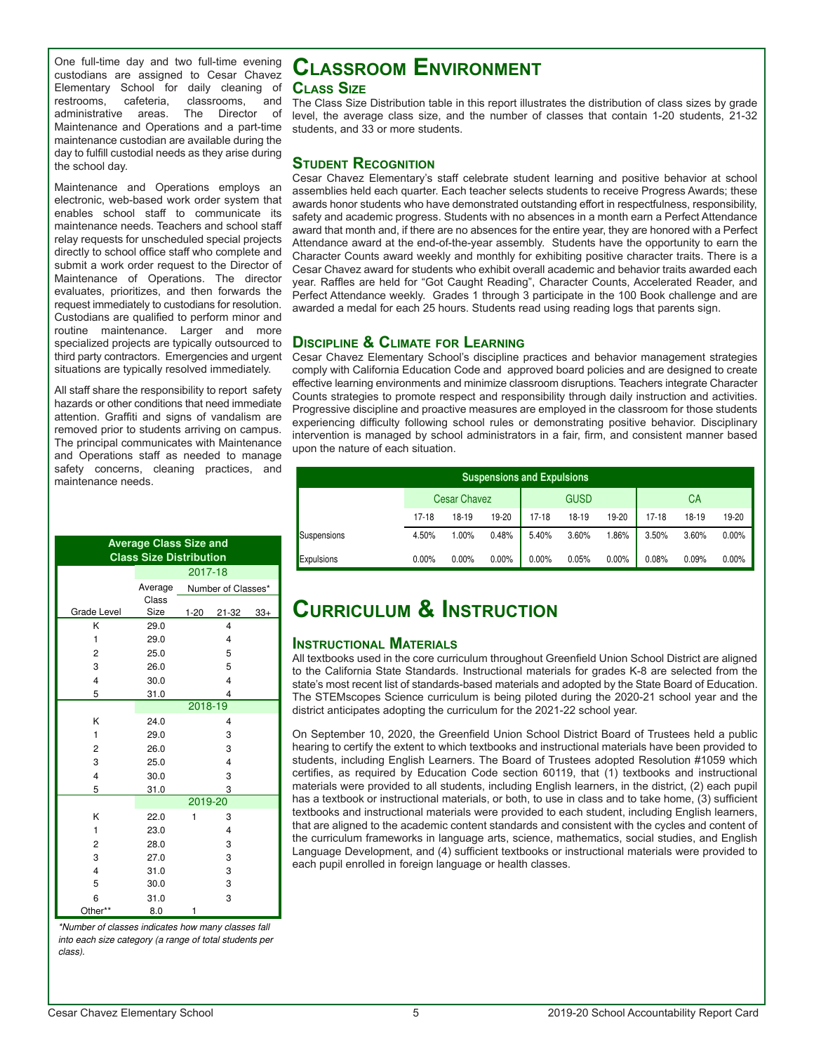One full-time day and two full-time evening custodians are assigned to Cesar Chavez Elementary School for daily cleaning of restrooms, cafeteria, classrooms, and<br>administrative areas. The Director of administrative areas. Maintenance and Operations and a part-time maintenance custodian are available during the day to fulfill custodial needs as they arise during the school day.

Maintenance and Operations employs an electronic, web-based work order system that enables school staff to communicate its maintenance needs. Teachers and school staff relay requests for unscheduled special projects directly to school office staff who complete and submit a work order request to the Director of Maintenance of Operations. The director evaluates, prioritizes, and then forwards the request immediately to custodians for resolution. Custodians are qualified to perform minor and routine maintenance. Larger and more specialized projects are typically outsourced to third party contractors. Emergencies and urgent situations are typically resolved immediately.

All staff share the responsibility to report safety hazards or other conditions that need immediate attention. Graffiti and signs of vandalism are removed prior to students arriving on campus. The principal communicates with Maintenance and Operations staff as needed to manage safety concerns, cleaning practices, and maintenance needs.

|                         | <b>Average Class Size and</b><br><b>Class Size Distribution</b> |                    |                         |       |  |  |  |
|-------------------------|-----------------------------------------------------------------|--------------------|-------------------------|-------|--|--|--|
|                         |                                                                 | 2017-18            |                         |       |  |  |  |
|                         | Average                                                         | Number of Classes* |                         |       |  |  |  |
|                         | Class                                                           |                    |                         |       |  |  |  |
| Grade Level             | Size                                                            | $1 - 20$           | $21 - 32$               | $33+$ |  |  |  |
| K                       | 29.0                                                            |                    | $\overline{4}$          |       |  |  |  |
| 1                       | 29.0                                                            |                    | $\overline{\mathbf{4}}$ |       |  |  |  |
| $\overline{2}$          | 25.0                                                            |                    | 5                       |       |  |  |  |
| 3                       | 26.0                                                            |                    | 5                       |       |  |  |  |
| $\overline{4}$          | 30.0                                                            |                    | $\overline{\mathbf{4}}$ |       |  |  |  |
| 5                       | 31.0                                                            |                    | $\overline{\mathbf{4}}$ |       |  |  |  |
|                         |                                                                 | $2018 - 19$        |                         |       |  |  |  |
| K                       | 24.0                                                            |                    | 4                       |       |  |  |  |
| 1                       | 29.0                                                            |                    | 3                       |       |  |  |  |
| $\overline{2}$          | 26.0                                                            |                    | 3                       |       |  |  |  |
| 3                       | 25.0                                                            |                    | $\overline{\mathbf{4}}$ |       |  |  |  |
| 4                       | 30.0                                                            |                    | 3                       |       |  |  |  |
| 5                       | 31.0                                                            |                    | 3                       |       |  |  |  |
|                         |                                                                 | 2019-20            |                         |       |  |  |  |
| K                       | 22.0                                                            | 1                  | 3                       |       |  |  |  |
| 1                       | 23.0                                                            |                    | $\overline{4}$          |       |  |  |  |
| $\overline{2}$          | 28.0                                                            |                    | 3                       |       |  |  |  |
| 3                       | 27.0                                                            |                    | 3                       |       |  |  |  |
| $\overline{\mathbf{4}}$ | 31.0                                                            |                    | 3                       |       |  |  |  |
| 5                       | 30.0                                                            |                    | 3                       |       |  |  |  |
| 6                       | 31.0                                                            |                    | 3                       |       |  |  |  |
| Other**                 | 8.0                                                             | 1                  |                         |       |  |  |  |

\*Number of classes indicates how many classes fall into each size category (a range of total students per class).

## **Classroom Environment Class Size**

The Class Size Distribution table in this report illustrates the distribution of class sizes by grade level, the average class size, and the number of classes that contain 1-20 students, 21-32 students, and 33 or more students.

### **Student Recognition**

Cesar Chavez Elementary's staff celebrate student learning and positive behavior at school assemblies held each quarter. Each teacher selects students to receive Progress Awards; these awards honor students who have demonstrated outstanding effort in respectfulness, responsibility, safety and academic progress. Students with no absences in a month earn a Perfect Attendance award that month and, if there are no absences for the entire year, they are honored with a Perfect Attendance award at the end-of-the-year assembly. Students have the opportunity to earn the Character Counts award weekly and monthly for exhibiting positive character traits. There is a Cesar Chavez award for students who exhibit overall academic and behavior traits awarded each year. Raffles are held for "Got Caught Reading", Character Counts, Accelerated Reader, and Perfect Attendance weekly. Grades 1 through 3 participate in the 100 Book challenge and are awarded a medal for each 25 hours. Students read using reading logs that parents sign.

## **Discipline & Climate for Learning**

Cesar Chavez Elementary School's discipline practices and behavior management strategies comply with California Education Code and approved board policies and are designed to create effective learning environments and minimize classroom disruptions. Teachers integrate Character Counts strategies to promote respect and responsibility through daily instruction and activities. Progressive discipline and proactive measures are employed in the classroom for those students experiencing difficulty following school rules or demonstrating positive behavior. Disciplinary intervention is managed by school administrators in a fair, firm, and consistent manner based upon the nature of each situation.

| <b>Suspensions and Expulsions</b> |           |                     |          |       |             |          |           |           |          |
|-----------------------------------|-----------|---------------------|----------|-------|-------------|----------|-----------|-----------|----------|
|                                   |           | <b>Cesar Chavez</b> |          |       | <b>GUSD</b> |          |           | <b>CA</b> |          |
|                                   | $17 - 18$ | 18-19               | 19-20    | 17-18 | 18-19       | 19-20    | $17 - 18$ | 18-19     | 19-20    |
| Suspensions                       | 4.50%     | 1.00%               | 0.48%    | 5.40% | 3.60%       | 1.86%    | 3.50%     | 3.60%     | $0.00\%$ |
| Expulsions                        | 0.00%     | 0.00%               | $0.00\%$ | 0.00% | 0.05%       | $0.00\%$ | 0.08%     | 0.09%     | $0.00\%$ |

### CURRICULUM & INSTRUCTION  $t$ urriculum  $\boldsymbol{\alpha}$  instructions and expulsions in the  $20$

### **Instructional Materials**

All textbooks used in the core curriculum throughout Greenfield Union School District are aligned to the California State Standards. Instructional materials for grades K-8 are selected from the state's most recent list of standards-based materials and adopted by the State Board of Education. The STEMscopes Science curriculum is being piloted during the 2020-21 school year and the district anticipates adopting the curriculum for the 2021-22 school year.

On September 10, 2020, the Greenfield Union School District Board of Trustees held a public hearing to certify the extent to which textbooks and instructional materials have been provided to students, including English Learners. The Board of Trustees adopted Resolution #1059 which certifies, as required by Education Code section 60119, that (1) textbooks and instructional materials were provided to all students, including English learners, in the district, (2) each pupil has a textbook or instructional materials, or both, to use in class and to take home, (3) sufficient textbooks and instructional materials were provided to each student, including English learners, that are aligned to the academic content standards and consistent with the cycles and content of the curriculum frameworks in language arts, science, mathematics, social studies, and English Language Development, and (4) sufficient textbooks or instructional materials were provided to each pupil enrolled in foreign language or health classes.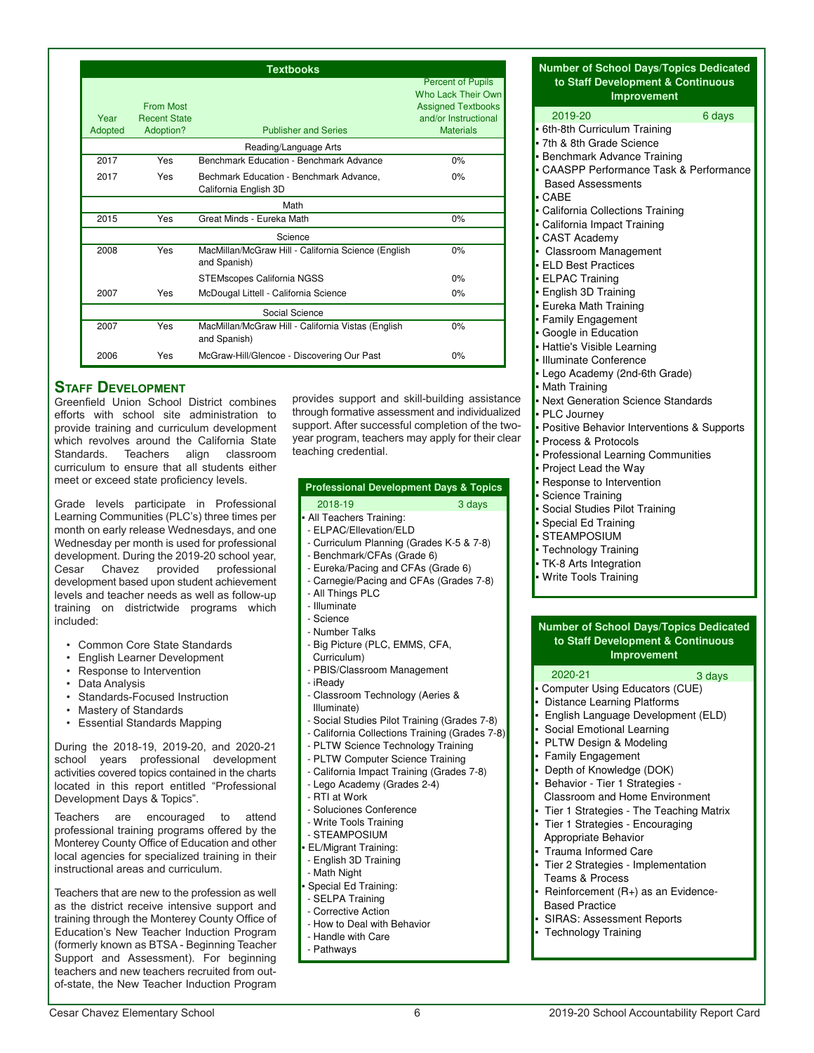|                 |                                                      | <b>Textbooks</b>                                                    |                                                                                                                         |
|-----------------|------------------------------------------------------|---------------------------------------------------------------------|-------------------------------------------------------------------------------------------------------------------------|
| Year<br>Adopted | <b>From Most</b><br><b>Recent State</b><br>Adoption? | <b>Publisher and Series</b>                                         | <b>Percent of Pupils</b><br>Who Lack Their Own<br><b>Assigned Textbooks</b><br>and/or Instructional<br><b>Materials</b> |
|                 |                                                      | Reading/Language Arts                                               |                                                                                                                         |
| 2017            | Yes                                                  | Benchmark Education - Benchmark Advance                             | 0%                                                                                                                      |
| 2017            | Yes                                                  | Bechmark Education - Benchmark Advance,<br>California English 3D    | 0%                                                                                                                      |
|                 |                                                      | Math                                                                |                                                                                                                         |
| 2015            | Yes                                                  | Great Minds - Eureka Math                                           | 0%                                                                                                                      |
|                 |                                                      | Science                                                             |                                                                                                                         |
| 2008            | Yes                                                  | MacMillan/McGraw Hill - California Science (English<br>and Spanish) | 0%                                                                                                                      |
|                 |                                                      | <b>STEMscopes California NGSS</b>                                   | 0%                                                                                                                      |
| 2007            | Yes                                                  | McDougal Littell - California Science                               | 0%                                                                                                                      |
|                 |                                                      | Social Science                                                      |                                                                                                                         |
| 2007            | Yes                                                  | MacMillan/McGraw Hill - California Vistas (English<br>and Spanish)  | 0%                                                                                                                      |
| 2006            | Yes                                                  | McGraw-Hill/Glencoe - Discovering Our Past                          | 0%                                                                                                                      |

## **STAFF DEVELOPMENT**

Greenfield Union School District combines efforts with school site administration to provide training and curriculum development which revolves around the California State<br>Standards. Teachers align classroom Standards. Teachers align curriculum to ensure that all students either meet or exceed state proficiency levels.

Grade levels participate in Professional Learning Communities (PLC's) three times per month on early release Wednesdays, and one Wednesday per month is used for professional development. During the 2019-20 school year,<br>Cesar Chavez provided professional Chavez provided development based upon student achievement levels and teacher needs as well as follow-up training on districtwide programs which included:

- Common Core State Standards
- English Learner Development
- Response to Intervention
- Data Analysis
- Standards-Focused Instruction
- Mastery of Standards
- Essential Standards Mapping

During the 2018-19, 2019-20, and 2020-21 school years professional development activities covered topics contained in the charts located in this report entitled "Professional Development Days & Topics".

Teachers are encouraged to attend professional training programs offered by the Monterey County Office of Education and other local agencies for specialized training in their instructional areas and curriculum.

Teachers that are new to the profession as well as the district receive intensive support and training through the Monterey County Office of Education's New Teacher Induction Program (formerly known as BTSA - Beginning Teacher Support and Assessment). For beginning teachers and new teachers recruited from outof-state, the New Teacher Induction Program provides support and skill-building assistance through formative assessment and individualized support. After successful completion of the twoyear program, teachers may apply for their clear teaching credential.

#### 2018-19 3 days **Professional Development Days & Topics**

### All Teachers Training:

- ELPAC/Ellevation/ELD
- Curriculum Planning (Grades K-5 & 7-8)
- Benchmark/CFAs (Grade 6)
- Eureka/Pacing and CFAs (Grade 6)
- Carnegie/Pacing and CFAs (Grades 7-8)
- All Things PLC
- Illuminate
- Science
- 
- Number Talks - Big Picture (PLC, EMMS, CFA,
- Curriculum)
- PBIS/Classroom Management
- iReady
- Classroom Technology (Aeries & Illuminate)
- Social Studies Pilot Training (Grades 7-8)
- California Collections Training (Grades 7-8)
- PLTW Science Technology Training
- PLTW Computer Science Training
- California Impact Training (Grades 7-8)
- Lego Academy (Grades 2-4)
- RTI at Work
- Soluciones Conference
- Write Tools Training
- STEAMPOSIUM
- EL/Migrant Training:
- English 3D Training
- Math Night
- Special Ed Training:
- SELPA Training
- Corrective Action
- How to Deal with Behavior
- Handle with Care
- Pathways

#### **Number of School Days/Topics Dedicated to Staff Development & Continuous Improvement**

| 2019-20<br>6 days                            |  |
|----------------------------------------------|--|
| • 6th-8th Curriculum Training                |  |
| • 7th & 8th Grade Science                    |  |
| • Benchmark Advance Training                 |  |
| • CAASPP Performance Task & Performance      |  |
| <b>Based Assessments</b>                     |  |
| $\cdot$ CABE                                 |  |
| • California Collections Training            |  |
| • California Impact Training                 |  |
| • CAST Academy                               |  |
| • Classroom Management                       |  |
| • ELD Best Practices                         |  |
| • ELPAC Training                             |  |
| • English 3D Training                        |  |
| • Eureka Math Training                       |  |
| • Family Engagement                          |  |
| Google in Education                          |  |
| • Hattie's Visible Learning                  |  |
| · Illuminate Conference                      |  |
| • Lego Academy (2nd-6th Grade)               |  |
| • Math Training                              |  |
| • Next Generation Science Standards          |  |
| • PLC Journey                                |  |
| - Positive Behavior Interventions & Supports |  |
| • Process & Protocols                        |  |
| • Professional Learning Communities          |  |
| • Project Lead the Way                       |  |
| - Response to Intervention                   |  |
| • Science Training                           |  |
| • Social Studies Pilot Training              |  |
| • Special Ed Training                        |  |
| • STEAMPOSIUM                                |  |
| • Technology Training                        |  |
| • TK-8 Arts Integration                      |  |

Write Tools Training

#### **Number of School Days/Topics Dedicated to Staff Development & Continuous Improvement**

#### 2020-21 3 days

- Computer Using Educators (CUE)
- Distance Learning Platforms
- English Language Development (ELD)
- Social Emotional Learning
- PLTW Design & Modeling
- Family Engagement
- Depth of Knowledge (DOK)
- Behavior Tier 1 Strategies -
- Classroom and Home Environment
- Tier 1 Strategies The Teaching Matrix
- Tier 1 Strategies Encouraging
- Appropriate Behavior
- Trauma Informed Care
- Tier 2 Strategies Implementation Teams & Process
- Reinforcement (R+) as an Evidence- Based Practice
- SIRAS: Assessment Reports
- Technology Training
-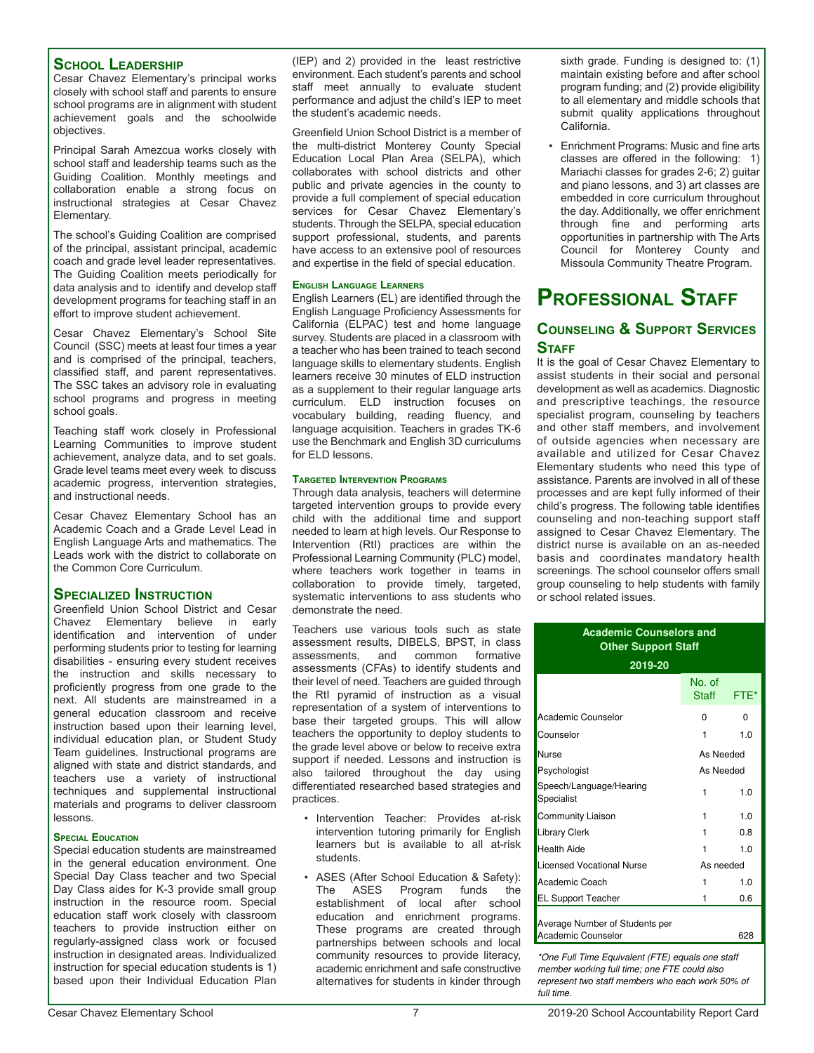#### **School Leadership**

Cesar Chavez Elementary's principal works closely with school staff and parents to ensure school programs are in alignment with student achievement goals and the schoolwide objectives.

Principal Sarah Amezcua works closely with school staff and leadership teams such as the Guiding Coalition. Monthly meetings and collaboration enable a strong focus on instructional strategies at Cesar Chavez Elementary.

The school's Guiding Coalition are comprised of the principal, assistant principal, academic coach and grade level leader representatives. The Guiding Coalition meets periodically for data analysis and to identify and develop staff development programs for teaching staff in an effort to improve student achievement.

Cesar Chavez Elementary's School Site Council (SSC) meets at least four times a year and is comprised of the principal, teachers, classified staff, and parent representatives. The SSC takes an advisory role in evaluating school programs and progress in meeting school goals.

Teaching staff work closely in Professional Learning Communities to improve student achievement, analyze data, and to set goals. Grade level teams meet every week to discuss academic progress, intervention strategies, and instructional needs.

Cesar Chavez Elementary School has an Academic Coach and a Grade Level Lead in English Language Arts and mathematics. The Leads work with the district to collaborate on the Common Core Curriculum.

#### **Specialized Instruction**

Greenfield Union School District and Cesar Chavez Elementary believe in early identification and intervention of under performing students prior to testing for learning disabilities - ensuring every student receives the instruction and skills necessary to proficiently progress from one grade to the next. All students are mainstreamed in a general education classroom and receive instruction based upon their learning level, individual education plan, or Student Study Team guidelines. Instructional programs are aligned with state and district standards, and teachers use a variety of instructional techniques and supplemental instructional materials and programs to deliver classroom lessons.

#### **Special Education**

Special education students are mainstreamed in the general education environment. One Special Day Class teacher and two Special Day Class aides for K-3 provide small group instruction in the resource room. Special education staff work closely with classroom teachers to provide instruction either on regularly-assigned class work or focused instruction in designated areas. Individualized instruction for special education students is 1) based upon their Individual Education Plan

(IEP) and 2) provided in the least restrictive environment. Each student's parents and school staff meet annually to evaluate student performance and adjust the child's IEP to meet the student's academic needs.

Greenfield Union School District is a member of the multi-district Monterey County Special Education Local Plan Area (SELPA), which collaborates with school districts and other public and private agencies in the county to provide a full complement of special education services for Cesar Chavez Elementary's students. Through the SELPA, special education support professional, students, and parents have access to an extensive pool of resources and expertise in the field of special education.

#### **English Language Learners**

English Learners (EL) are identified through the English Language Proficiency Assessments for California (ELPAC) test and home language survey. Students are placed in a classroom with a teacher who has been trained to teach second language skills to elementary students. English learners receive 30 minutes of ELD instruction as a supplement to their regular language arts curriculum. ELD instruction focuses on vocabulary building, reading fluency, and language acquisition. Teachers in grades TK-6 use the Benchmark and English 3D curriculums for ELD lessons.

#### **Targeted Intervention Programs**

Through data analysis, teachers will determine targeted intervention groups to provide every child with the additional time and support needed to learn at high levels. Our Response to Intervention (RtI) practices are within the Professional Learning Community (PLC) model, where teachers work together in teams in collaboration to provide timely, targeted, systematic interventions to ass students who demonstrate the need.

Teachers use various tools such as state assessment results, DIBELS, BPST, in class assessments, and common formative assessments (CFAs) to identify students and their level of need. Teachers are guided through the RtI pyramid of instruction as a visual representation of a system of interventions to base their targeted groups. This will allow teachers the opportunity to deploy students to the grade level above or below to receive extra support if needed. Lessons and instruction is also tailored throughout the day using differentiated researched based strategies and practices.

- Intervention Teacher: Provides at-risk intervention tutoring primarily for English learners but is available to all at-risk students.
- ASES (After School Education & Safety): The ASES Program funds the establishment of local after school education and enrichment programs. These programs are created through partnerships between schools and local community resources to provide literacy, academic enrichment and safe constructive alternatives for students in kinder through

sixth grade. Funding is designed to: (1) maintain existing before and after school program funding; and (2) provide eligibility to all elementary and middle schools that submit quality applications throughout California.

• Enrichment Programs: Music and fine arts classes are offered in the following: 1) Mariachi classes for grades 2-6; 2) guitar and piano lessons, and 3) art classes are embedded in core curriculum throughout the day. Additionally, we offer enrichment through fine and performing arts opportunities in partnership with The Arts Council for Monterey County and Missoula Community Theatre Program.

# **Professional Staff**

### **Counseling & Support Services STAFF**

It is the goal of Cesar Chavez Elementary to assist students in their social and personal development as well as academics. Diagnostic and prescriptive teachings, the resource specialist program, counseling by teachers and other staff members, and involvement of outside agencies when necessary are available and utilized for Cesar Chavez Elementary students who need this type of assistance. Parents are involved in all of these processes and are kept fully informed of their child's progress. The following table identifies counseling and non-teaching support staff assigned to Cesar Chavez Elementary. The district nurse is available on an as-needed basis and coordinates mandatory health screenings. The school counselor offers small group counseling to help students with family or school related issues.

#### **Academic Counselors and Other Support Staff**

| 2019-20                                              |                        |      |  |  |  |
|------------------------------------------------------|------------------------|------|--|--|--|
|                                                      | No. of<br><b>Staff</b> | FTE* |  |  |  |
| Academic Counselor                                   | U                      | O    |  |  |  |
| Counselor                                            | 1                      | 1.0  |  |  |  |
| Nurse                                                | As Needed              |      |  |  |  |
| Psychologist                                         | As Needed              |      |  |  |  |
| Speech/Language/Hearing<br>Specialist                | 1                      | 1.0  |  |  |  |
| <b>Community Liaison</b>                             | 1                      | 1.0  |  |  |  |
| <b>Library Clerk</b>                                 | 1                      | 0.8  |  |  |  |
| Health Aide                                          | 1                      | 1.0  |  |  |  |
| Licensed Vocational Nurse                            | As needed              |      |  |  |  |
| Academic Coach                                       | 1                      | 1.0  |  |  |  |
| <b>EL Support Teacher</b>                            | 1                      | 0.6  |  |  |  |
| Average Number of Students per<br>Academic Counselor |                        | 628  |  |  |  |

\*One Full Time Equivalent (FTE) equals one staff member working full time; one FTE could also represent two staff members who each work 50% of full time.